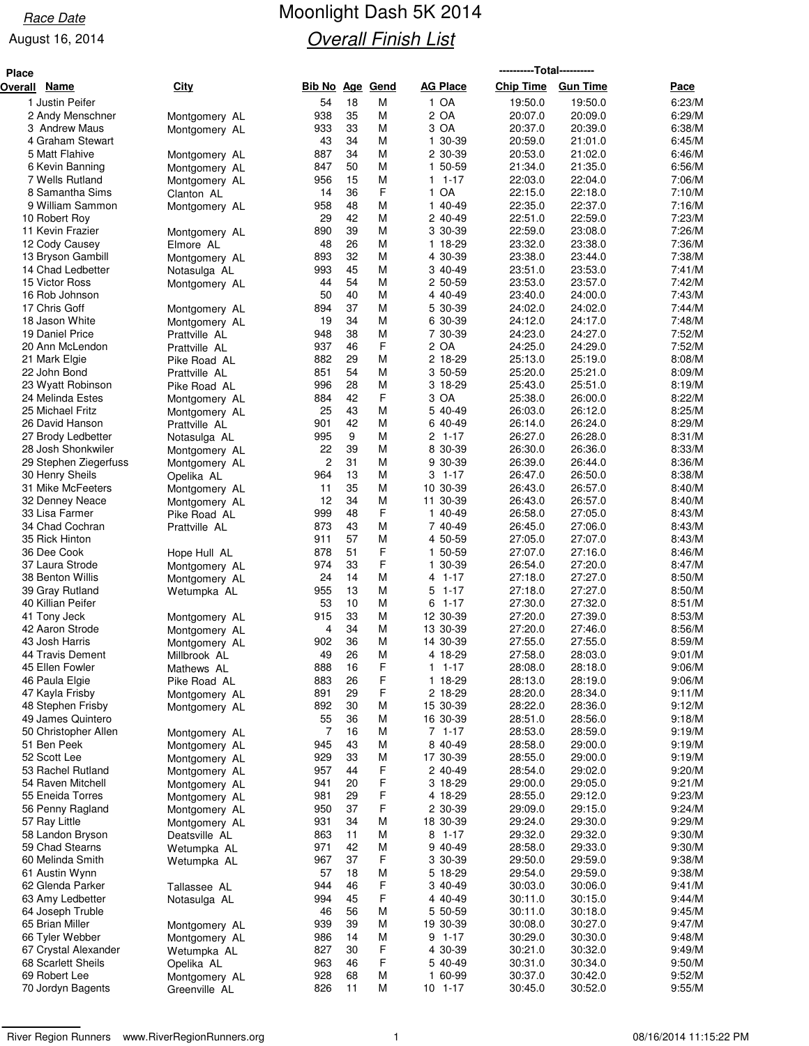# Race Date **Moonlight Dash 5K 2014 Overall Finish List**

| <b>Place</b> |                                        |                                |                        |          |        |                                     | ----------Total---------- |                    |                  |  |  |
|--------------|----------------------------------------|--------------------------------|------------------------|----------|--------|-------------------------------------|---------------------------|--------------------|------------------|--|--|
| Overall      | Name                                   | City                           | <b>Bib No Age Gend</b> |          |        | <b>AG Place</b>                     | <b>Chip Time</b>          | <b>Gun Time</b>    | Pace             |  |  |
|              | 1 Justin Peifer                        |                                | 54                     | 18       | М      | 1 OA                                | 19:50.0                   | 19:50.0            | 6:23/M           |  |  |
|              | 2 Andy Menschner                       | Montgomery AL                  | 938                    | 35       | М      | 2 OA                                | 20:07.0                   | 20:09.0            | 6:29/M           |  |  |
|              | 3 Andrew Maus                          | Montgomery AL                  | 933                    | 33       | М      | 3 OA                                | 20:37.0                   | 20:39.0            | 6:38/M           |  |  |
|              | 4 Graham Stewart                       |                                | 43                     | 34       | М      | 30-39<br>1.                         | 20:59.0                   | 21:01.0            | 6:45/M           |  |  |
|              | 5 Matt Flahive                         | Montgomery AL                  | 887                    | 34       | М      | 2 30-39                             | 20:53.0                   | 21:02.0            | 6:46/M           |  |  |
|              | 6 Kevin Banning<br>7 Wells Rutland     | Montgomery AL                  | 847<br>956             | 50<br>15 | М<br>М | 1 50-59<br>$1 - 17$<br>$\mathbf{1}$ | 21:34.0<br>22:03.0        | 21:35.0<br>22:04.0 | 6:56/M<br>7:06/M |  |  |
|              | 8 Samantha Sims                        | Montgomery AL<br>Clanton AL    | 14                     | 36       | F      | 1 OA                                | 22:15.0                   | 22:18.0            | 7:10/M           |  |  |
|              | 9 William Sammon                       | Montgomery AL                  | 958                    | 48       | M      | 1 40-49                             | 22:35.0                   | 22:37.0            | 7:16/M           |  |  |
|              | 10 Robert Roy                          |                                | 29                     | 42       | M      | 2 40-49                             | 22:51.0                   | 22:59.0            | 7:23/M           |  |  |
|              | 11 Kevin Frazier                       | Montgomery AL                  | 890                    | 39       | M      | 3 30-39                             | 22:59.0                   | 23:08.0            | 7:26/M           |  |  |
|              | 12 Cody Causey                         | Elmore AL                      | 48                     | 26       | М      | 1 18-29                             | 23:32.0                   | 23:38.0            | 7:36/M           |  |  |
|              | 13 Bryson Gambill                      | Montgomery AL                  | 893                    | 32       | М      | 4 30-39                             | 23:38.0                   | 23:44.0            | 7:38/M           |  |  |
|              | 14 Chad Ledbetter                      | Notasulga AL                   | 993                    | 45       | M      | 3 40-49                             | 23:51.0                   | 23:53.0            | 7:41/M           |  |  |
|              | 15 Victor Ross<br>16 Rob Johnson       | Montgomery AL                  | 44<br>50               | 54<br>40 | М<br>М | 2 50-59<br>4 40-49                  | 23:53.0<br>23:40.0        | 23:57.0<br>24:00.0 | 7:42/M<br>7:43/M |  |  |
|              | 17 Chris Goff                          | Montgomery AL                  | 894                    | 37       | M      | 5 30-39                             | 24:02.0                   | 24:02.0            | 7:44/M           |  |  |
|              | 18 Jason White                         | Montgomery AL                  | 19                     | 34       | М      | 6 30-39                             | 24:12.0                   | 24:17.0            | 7:48/M           |  |  |
|              | 19 Daniel Price                        | Prattville AL                  | 948                    | 38       | M      | 7 30-39                             | 24:23.0                   | 24:27.0            | 7:52/M           |  |  |
|              | 20 Ann McLendon                        | Prattville AL                  | 937                    | 46       | F      | 2 OA                                | 24:25.0                   | 24:29.0            | 7:52/M           |  |  |
|              | 21 Mark Elgie                          | Pike Road AL                   | 882                    | 29       | М      | 2 18-29                             | 25:13.0                   | 25:19.0            | 8:08/M           |  |  |
|              | 22 John Bond                           | Prattville AL                  | 851                    | 54       | М      | 3 50-59                             | 25:20.0                   | 25:21.0            | 8:09/M           |  |  |
|              | 23 Wyatt Robinson                      | Pike Road AL                   | 996                    | 28       | М      | 3 18-29                             | 25:43.0                   | 25:51.0            | 8:19/M           |  |  |
|              | 24 Melinda Estes                       | Montgomery AL                  | 884                    | 42       | F      | 3 OA                                | 25:38.0                   | 26:00.0            | 8:22/M           |  |  |
|              | 25 Michael Fritz<br>26 David Hanson    | Montgomery AL                  | 25<br>901              | 43<br>42 | M<br>М | 5 40-49<br>6 40-49                  | 26:03.0<br>26:14.0        | 26:12.0<br>26:24.0 | 8:25/M<br>8:29/M |  |  |
|              | 27 Brody Ledbetter                     | Prattville AL<br>Notasulga AL  | 995                    | 9        | М      | $2 1 - 17$                          | 26:27.0                   | 26:28.0            | 8:31/M           |  |  |
|              | 28 Josh Shonkwiler                     | Montgomery AL                  | 22                     | 39       | М      | 8 30-39                             | 26:30.0                   | 26:36.0            | 8:33/M           |  |  |
|              | 29 Stephen Ziegerfuss                  | Montgomery AL                  | $\overline{c}$         | 31       | М      | 9 30-39                             | 26:39.0                   | 26:44.0            | 8:36/M           |  |  |
|              | 30 Henry Sheils                        | Opelika AL                     | 964                    | 13       | М      | $3 \t1-17$                          | 26:47.0                   | 26:50.0            | 8:38/M           |  |  |
|              | 31 Mike McFeeters                      | Montgomery AL                  | 11                     | 35       | М      | 10 30-39                            | 26:43.0                   | 26:57.0            | 8:40/M           |  |  |
|              | 32 Denney Neace                        | Montgomery AL                  | 12                     | 34       | М      | 11 30-39                            | 26:43.0                   | 26:57.0            | 8:40/M           |  |  |
|              | 33 Lisa Farmer                         | Pike Road AL                   | 999                    | 48       | F      | 1 40-49                             | 26:58.0                   | 27:05.0            | 8:43/M           |  |  |
|              | 34 Chad Cochran                        | Prattville AL                  | 873                    | 43<br>57 | М<br>M | 7 40-49                             | 26:45.0                   | 27:06.0            | 8:43/M           |  |  |
|              | 35 Rick Hinton<br>36 Dee Cook          |                                | 911<br>878             | 51       | F      | 4 50-59<br>1 50-59                  | 27:05.0<br>27:07.0        | 27:07.0<br>27:16.0 | 8:43/M<br>8:46/M |  |  |
|              | 37 Laura Strode                        | Hope Hull AL<br>Montgomery AL  | 974                    | 33       | F      | 1 30-39                             | 26:54.0                   | 27:20.0            | 8:47/M           |  |  |
|              | 38 Benton Willis                       | Montgomery AL                  | 24                     | 14       | M      | $1 - 17$<br>4                       | 27:18.0                   | 27:27.0            | 8:50/M           |  |  |
|              | 39 Gray Rutland                        | Wetumpka AL                    | 955                    | 13       | М      | 5<br>$1 - 17$                       | 27:18.0                   | 27:27.0            | 8:50/M           |  |  |
|              | 40 Killian Peifer                      |                                | 53                     | 10       | М      | $61-17$                             | 27:30.0                   | 27:32.0            | 8:51/M           |  |  |
|              | 41 Tony Jeck                           | Montgomery AL                  | 915                    | 33       | М      | 12 30-39                            | 27:20.0                   | 27:39.0            | 8:53/M           |  |  |
|              | 42 Aaron Strode                        | Montgomery AL                  | 4                      | 34       | М      | 13 30-39                            | 27:20.0                   | 27:46.0            | 8:56/M           |  |  |
|              | 43 Josh Harris                         | Montgomery AL                  | 902                    | 36       | М      | 14 30-39                            | 27:55.0                   | 27:55.0            | 8:59/M           |  |  |
|              | 44 Travis Dement<br>45 Ellen Fowler    | Millbrook AL                   | 49<br>888              | 26<br>16 | М<br>F | 4 18-29<br>$1 \t1-17$               | 27:58.0<br>28:08.0        | 28:03.0<br>28:18.0 | 9:01/M<br>9:06/M |  |  |
|              | 46 Paula Elgie                         | Mathews AL<br>Pike Road AL     | 883                    | 26       | F      | 1 18-29                             | 28:13.0                   | 28:19.0            | 9:06/M           |  |  |
|              | 47 Kayla Frisby                        | Montgomery AL                  | 891                    | 29       | F      | 2 18-29                             | 28:20.0                   | 28:34.0            | 9:11/M           |  |  |
|              | 48 Stephen Frisby                      | Montgomery AL                  | 892                    | 30       | М      | 15 30-39                            | 28:22.0                   | 28:36.0            | 9:12/M           |  |  |
|              | 49 James Quintero                      |                                | 55                     | 36       | М      | 16 30-39                            | 28:51.0                   | 28:56.0            | 9:18/M           |  |  |
|              | 50 Christopher Allen                   | Montgomery AL                  | 7                      | 16       | М      | 7 1-17                              | 28:53.0                   | 28:59.0            | 9:19/M           |  |  |
|              | 51 Ben Peek                            | Montgomery AL                  | 945                    | 43       | М      | 8 40-49                             | 28:58.0                   | 29:00.0            | 9:19/M           |  |  |
|              | 52 Scott Lee                           | Montgomery AL                  | 929                    | 33       | М      | 17 30-39                            | 28:55.0                   | 29:00.0            | 9:19/M           |  |  |
|              | 53 Rachel Rutland<br>54 Raven Mitchell | Montgomery AL                  | 957<br>941             | 44<br>20 | F<br>F | 2 40-49<br>3 18-29                  | 28:54.0<br>29:00.0        | 29:02.0<br>29:05.0 | 9:20/M<br>9:21/M |  |  |
|              | 55 Eneida Torres                       | Montgomery AL<br>Montgomery AL | 981                    | 29       | F      | 4 18-29                             | 28:55.0                   | 29:12.0            | 9:23/M           |  |  |
|              | 56 Penny Ragland                       | Montgomery AL                  | 950                    | 37       | F      | 2 30-39                             | 29:09.0                   | 29:15.0            | 9:24/M           |  |  |
|              | 57 Ray Little                          | Montgomery AL                  | 931                    | 34       | М      | 18 30-39                            | 29:24.0                   | 29:30.0            | 9:29/M           |  |  |
|              | 58 Landon Bryson                       | Deatsville AL                  | 863                    | 11       | М      | 8 1-17                              | 29:32.0                   | 29:32.0            | 9:30/M           |  |  |
|              | 59 Chad Stearns                        | Wetumpka AL                    | 971                    | 42       | М      | 9 40-49                             | 28:58.0                   | 29:33.0            | 9:30/M           |  |  |
|              | 60 Melinda Smith                       | Wetumpka AL                    | 967                    | 37       | F      | 3 30-39                             | 29:50.0                   | 29:59.0            | 9:38/M           |  |  |
|              | 61 Austin Wynn                         |                                | 57                     | 18       | М      | 5 18-29                             | 29:54.0                   | 29:59.0            | 9:38/M           |  |  |
|              | 62 Glenda Parker                       | Tallassee AL                   | 944<br>994             | 46<br>45 | F<br>F | 3 40-49<br>4 40-49                  | 30:03.0                   | 30:06.0<br>30:15.0 | 9:41/M<br>9:44/M |  |  |
|              | 63 Amy Ledbetter<br>64 Joseph Truble   | Notasulga AL                   | 46                     | 56       | М      | 5 50-59                             | 30:11.0<br>30:11.0        | 30:18.0            | 9:45/M           |  |  |
|              | 65 Brian Miller                        | Montgomery AL                  | 939                    | 39       | М      | 19 30-39                            | 30:08.0                   | 30:27.0            | 9:47/M           |  |  |
|              | 66 Tyler Webber                        | Montgomery AL                  | 986                    | 14       | М      | $9 \t1-17$                          | 30:29.0                   | 30:30.0            | 9:48/M           |  |  |
|              | 67 Crystal Alexander                   | Wetumpka AL                    | 827                    | 30       | F      | 4 30-39                             | 30:21.0                   | 30:32.0            | 9:49/M           |  |  |
|              | 68 Scarlett Sheils                     | Opelika AL                     | 963                    | 46       | F      | 5 40-49                             | 30:31.0                   | 30:34.0            | 9:50/M           |  |  |
|              | 69 Robert Lee                          | Montgomery AL                  | 928                    | 68       | М      | 1 60-99                             | 30:37.0                   | 30:42.0            | 9:52/M           |  |  |
|              | 70 Jordyn Bagents                      | Greenville AL                  | 826                    | 11       | М      | $10$ 1-17                           | 30:45.0                   | 30:52.0            | 9:55/M           |  |  |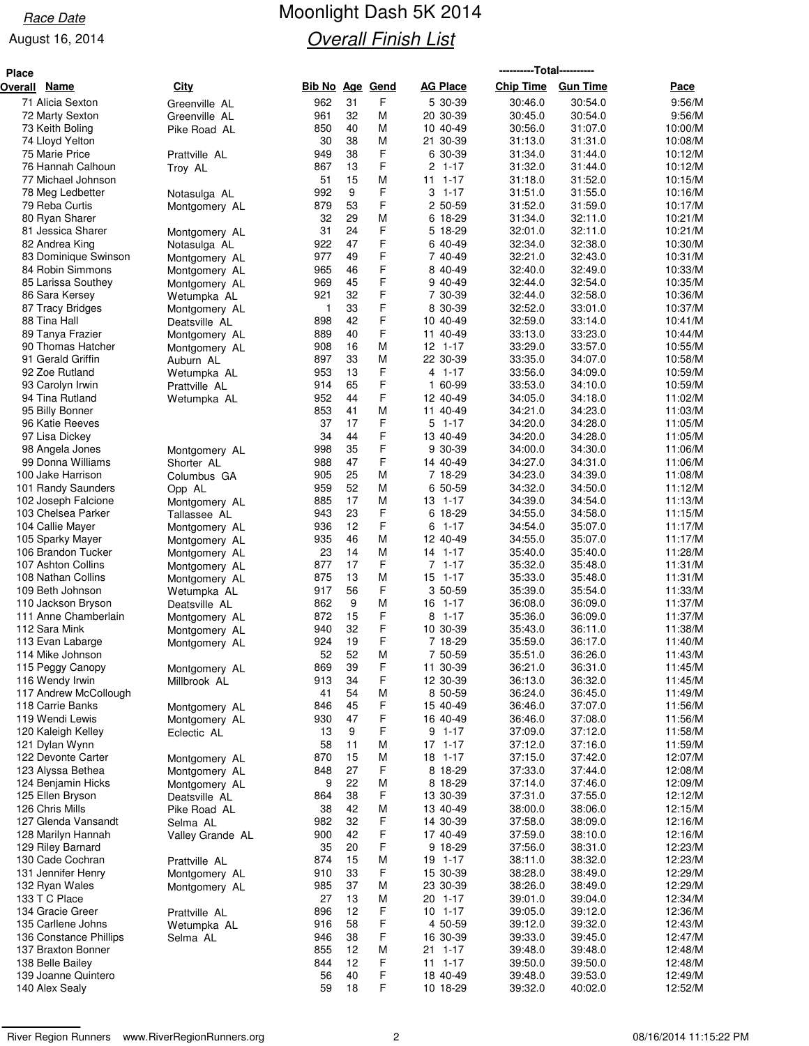# Race Date **Moonlight Dash 5K 2014 Overall Finish List**

| <b>Place</b> |                                          |                                |                 |          |        |                          | ----------Total---------- |                    |                    |
|--------------|------------------------------------------|--------------------------------|-----------------|----------|--------|--------------------------|---------------------------|--------------------|--------------------|
| Overall      | <u>Name</u>                              | <b>City</b>                    | Bib No Age Gend |          |        | <b>AG Place</b>          | Chip Time Gun Time        |                    | Pace               |
|              | 71 Alicia Sexton                         | Greenville AL                  | 962             | 31       | F      | 5 30-39                  | 30:46.0                   | 30:54.0            | 9:56/M             |
|              | 72 Marty Sexton                          | Greenville AL                  | 961             | 32       | M      | 20 30-39                 | 30:45.0                   | 30:54.0            | 9:56/M             |
|              | 73 Keith Boling                          | Pike Road AL                   | 850             | 40       | М      | 10 40-49                 | 30:56.0                   | 31:07.0            | 10:00/M            |
|              | 74 Lloyd Yelton                          |                                | 30              | 38       | M      | 21 30-39                 | 31:13.0                   | 31:31.0            | 10:08/M            |
|              | 75 Marie Price                           | Prattville AL                  | 949             | 38       | F      | 6 30-39                  | 31:34.0                   | 31:44.0            | 10:12/M            |
|              | 76 Hannah Calhoun                        | Troy AL                        | 867             | 13       | F      | $2, 1-17$                | 31:32.0                   | 31:44.0            | 10:12/M            |
|              | 77 Michael Johnson                       |                                | 51              | 15       | М      | $11 1 - 17$              | 31:18.0                   | 31:52.0            | 10:15/M            |
|              | 78 Meg Ledbetter                         | Notasulga AL                   | 992             | 9        | F      | $3 - 1 - 17$             | 31:51.0                   | 31:55.0            | 10:16/M            |
|              | 79 Reba Curtis                           | Montgomery AL                  | 879             | 53       | F      | 2 50-59                  | 31:52.0                   | 31:59.0            | 10:17/M            |
|              | 80 Ryan Sharer                           |                                | 32              | 29       | М      | 6 18-29                  | 31:34.0                   | 32:11.0            | 10:21/M            |
|              | 81 Jessica Sharer                        | Montgomery AL                  | 31              | 24       | F      | 5 18-29                  | 32:01.0                   | 32:11.0            | 10:21/M            |
|              | 82 Andrea King                           | Notasulga AL                   | 922             | 47<br>49 | F<br>F | 6 40-49                  | 32:34.0                   | 32:38.0            | 10:30/M            |
|              | 83 Dominique Swinson<br>84 Robin Simmons | Montgomery AL                  | 977<br>965      | 46       | F      | 7 40-49<br>8 40-49       | 32:21.0<br>32:40.0        | 32:43.0<br>32:49.0 | 10:31/M<br>10:33/M |
|              | 85 Larissa Southey                       | Montgomery AL<br>Montgomery AL | 969             | 45       | F      | 9 40-49                  | 32:44.0                   | 32:54.0            | 10:35/M            |
|              | 86 Sara Kersey                           | Wetumpka AL                    | 921             | 32       | F      | 7 30-39                  | 32:44.0                   | 32:58.0            | 10:36/M            |
|              | 87 Tracy Bridges                         | Montgomery AL                  | $\mathbf{1}$    | 33       | F      | 8 30-39                  | 32:52.0                   | 33:01.0            | 10:37/M            |
|              | 88 Tina Hall                             | Deatsville AL                  | 898             | 42       | F      | 10 40-49                 | 32:59.0                   | 33:14.0            | 10:41/M            |
|              | 89 Tanya Frazier                         | Montgomery AL                  | 889             | 40       | F      | 11 40-49                 | 33:13.0                   | 33:23.0            | 10:44/M            |
|              | 90 Thomas Hatcher                        | Montgomery AL                  | 908             | 16       | М      | $12$ 1-17                | 33:29.0                   | 33:57.0            | 10:55/M            |
|              | 91 Gerald Griffin                        | Auburn AL                      | 897             | 33       | М      | 22 30-39                 | 33:35.0                   | 34:07.0            | 10:58/M            |
|              | 92 Zoe Rutland                           | Wetumpka AL                    | 953             | 13       | F      | 4 1-17                   | 33:56.0                   | 34:09.0            | 10:59/M            |
|              | 93 Carolyn Irwin                         | Prattville AL                  | 914             | 65       | F      | 1 60-99                  | 33:53.0                   | 34:10.0            | 10:59/M            |
|              | 94 Tina Rutland                          | Wetumpka AL                    | 952             | 44       | F      | 12 40-49                 | 34:05.0                   | 34:18.0            | 11:02/M            |
|              | 95 Billy Bonner                          |                                | 853             | 41       | M      | 11 40-49                 | 34:21.0                   | 34:23.0            | 11:03/M            |
|              | 96 Katie Reeves                          |                                | 37              | 17       | F      | $5 \t1-17$               | 34:20.0                   | 34:28.0            | 11:05/M            |
|              | 97 Lisa Dickey                           |                                | 34              | 44       | F      | 13 40-49                 | 34:20.0                   | 34:28.0            | 11:05/M            |
|              | 98 Angela Jones                          | Montgomery AL                  | 998             | 35       | F      | 9 30-39                  | 34:00.0                   | 34:30.0            | 11:06/M            |
|              | 99 Donna Williams                        | Shorter AL                     | 988             | 47       | F      | 14 40-49                 | 34:27.0                   | 34:31.0            | 11:06/M            |
|              | 100 Jake Harrison                        | Columbus GA                    | 905             | 25       | M      | 7 18-29                  | 34:23.0                   | 34:39.0            | 11:08/M            |
|              | 101 Randy Saunders                       | Opp AL                         | 959             | 52       | М      | 6 50-59                  | 34:32.0                   | 34:50.0            | 11:12/M            |
|              | 102 Joseph Falcione                      | Montgomery AL                  | 885             | 17<br>23 | М<br>F | 13 1-17                  | 34:39.0                   | 34:54.0            | 11:13/M            |
|              | 103 Chelsea Parker<br>104 Callie Mayer   | Tallassee AL                   | 943<br>936      | 12       | F      | 6 18-29<br>$1 - 17$<br>6 | 34:55.0<br>34:54.0        | 34:58.0<br>35:07.0 | 11:15/M<br>11:17/M |
|              | 105 Sparky Mayer                         | Montgomery AL                  | 935             | 46       | M      | 12 40-49                 | 34:55.0                   | 35:07.0            | 11:17/M            |
|              | 106 Brandon Tucker                       | Montgomery AL<br>Montgomery AL | 23              | 14       | M      | 14 1-17                  | 35:40.0                   | 35:40.0            | 11:28/M            |
|              | 107 Ashton Collins                       | Montgomery AL                  | 877             | 17       | F      | $7.1 - 17$               | 35:32.0                   | 35:48.0            | 11:31/M            |
|              | 108 Nathan Collins                       | Montgomery AL                  | 875             | 13       | M      | $15$ 1-17                | 35:33.0                   | 35:48.0            | 11:31/M            |
|              | 109 Beth Johnson                         | Wetumpka AL                    | 917             | 56       | F      | 3 50-59                  | 35:39.0                   | 35:54.0            | 11:33/M            |
|              | 110 Jackson Bryson                       | Deatsville AL                  | 862             | 9        | M      | 16 1-17                  | 36:08.0                   | 36:09.0            | 11:37/M            |
|              | 111 Anne Chamberlain                     | Montgomery AL                  | 872             | 15       | F      | $8$ 1-17                 | 35:36.0                   | 36:09.0            | 11:37/M            |
|              | 112 Sara Mink                            | Montgomery AL                  | 940             | 32       | F      | 10 30-39                 | 35:43.0                   | 36:11.0            | 11:38/M            |
|              | 113 Evan Labarge                         | Montgomery AL                  | 924             | 19       | F      | 7 18-29                  | 35:59.0                   | 36:17.0            | 11:40/M            |
|              | 114 Mike Johnson                         |                                | 52              | 52       | M      | 7 50-59                  | 35:51.0                   | 36:26.0            | 11:43/M            |
|              | 115 Peggy Canopy                         | Montgomery AL                  | 869             | 39       | F      | 11 30-39                 | 36:21.0                   | 36:31.0            | 11:45/M            |
|              | 116 Wendy Irwin                          | Millbrook AL                   | 913             | 34       | F      | 12 30-39                 | 36:13.0                   | 36:32.0            | 11:45/M            |
|              | 117 Andrew McCollough                    |                                | 41              | 54       | M      | 8 50-59                  | 36:24.0                   | 36:45.0            | 11:49/M            |
|              | 118 Carrie Banks                         | Montgomery AL                  | 846             | 45       | F      | 15 40-49                 | 36:46.0                   | 37:07.0            | 11:56/M            |
|              | 119 Wendi Lewis                          | Montgomery AL                  | 930             | 47       | F      | 16 40-49                 | 36:46.0                   | 37:08.0            | 11:56/M            |
|              | 120 Kaleigh Kelley                       | Eclectic AL                    | 13<br>58        | 9<br>11  | F<br>М | $9 1 - 17$<br>$17$ 1-17  | 37:09.0<br>37:12.0        | 37:12.0<br>37:16.0 | 11:58/M            |
|              | 121 Dylan Wynn<br>122 Devonte Carter     |                                | 870             | 15       | M      | 18 1-17                  | 37:15.0                   | 37:42.0            | 11:59/M<br>12:07/M |
|              | 123 Alyssa Bethea                        | Montgomery AL<br>Montgomery AL | 848             | 27       | F      | 8 18-29                  | 37:33.0                   | 37:44.0            | 12:08/M            |
|              | 124 Benjamin Hicks                       | Montgomery AL                  | 9               | 22       | М      | 8 18-29                  | 37:14.0                   | 37:46.0            | 12:09/M            |
|              | 125 Ellen Bryson                         | Deatsville AL                  | 864             | 38       | F      | 13 30-39                 | 37:31.0                   | 37:55.0            | 12:12/M            |
|              | 126 Chris Mills                          | Pike Road AL                   | 38              | 42       | М      | 13 40-49                 | 38:00.0                   | 38:06.0            | 12:15/M            |
|              | 127 Glenda Vansandt                      | Selma AL                       | 982             | 32       | F      | 14 30-39                 | 37:58.0                   | 38:09.0            | 12:16/M            |
|              | 128 Marilyn Hannah                       | Valley Grande AL               | 900             | 42       | F      | 17 40-49                 | 37:59.0                   | 38:10.0            | 12:16/M            |
|              | 129 Riley Barnard                        |                                | 35              | 20       | F      | 9 18-29                  | 37:56.0                   | 38:31.0            | 12:23/M            |
|              | 130 Cade Cochran                         | Prattville AL                  | 874             | 15       | M      | 19 1-17                  | 38:11.0                   | 38:32.0            | 12:23/M            |
|              | 131 Jennifer Henry                       | Montgomery AL                  | 910             | 33       | F      | 15 30-39                 | 38:28.0                   | 38:49.0            | 12:29/M            |
|              | 132 Ryan Wales                           | Montgomery AL                  | 985             | 37       | М      | 23 30-39                 | 38:26.0                   | 38:49.0            | 12:29/M            |
|              | 133 T C Place                            |                                | 27              | 13       | М      | 20 1-17                  | 39:01.0                   | 39:04.0            | 12:34/M            |
|              | 134 Gracie Greer                         | Prattville AL                  | 896             | 12       | F      | $10$ 1-17                | 39:05.0                   | 39:12.0            | 12:36/M            |
|              | 135 Carllene Johns                       | Wetumpka AL                    | 916             | 58       | F      | 4 50-59                  | 39:12.0                   | 39:32.0            | 12:43/M            |
|              | 136 Constance Phillips                   | Selma AL                       | 946             | 38       | F      | 16 30-39                 | 39:33.0                   | 39:45.0            | 12:47/M            |
|              | 137 Braxton Bonner                       |                                | 855             | 12       | М      | 21 1-17                  | 39:48.0                   | 39:48.0            | 12:48/M            |
|              | 138 Belle Bailey                         |                                | 844             | 12       | F      | $11 \t1-17$              | 39:50.0                   | 39:50.0            | 12:48/M            |
|              | 139 Joanne Quintero                      |                                | 56              | 40       | F      | 18 40-49                 | 39:48.0                   | 39:53.0            | 12:49/M            |
|              | 140 Alex Sealy                           |                                | 59              | 18       | F      | 10 18-29                 | 39:32.0                   | 40:02.0            | 12:52/M            |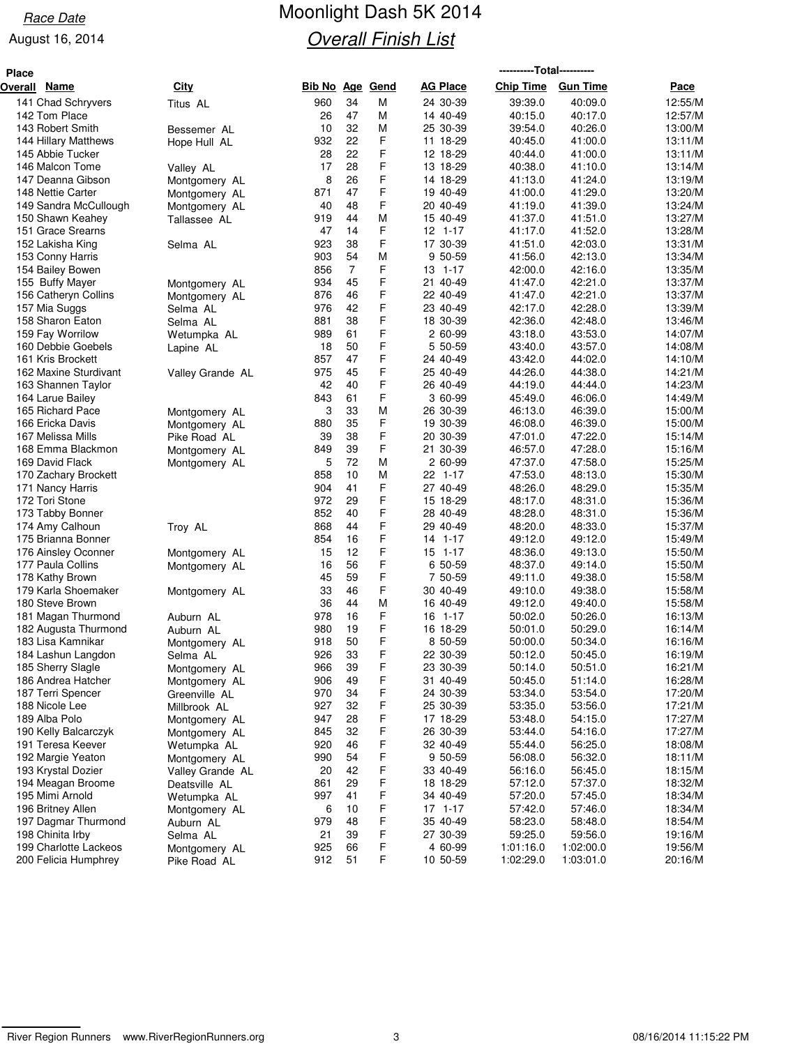# Race Date **Moonlight Dash 5K 2014 Overall Finish List**

| <b>Place</b> | ----------Total----------               |                                |                        |                |        |                      |                    |                    |                    |
|--------------|-----------------------------------------|--------------------------------|------------------------|----------------|--------|----------------------|--------------------|--------------------|--------------------|
| Overall      | <u>Name</u>                             | City                           | <b>Bib No Age Gend</b> |                |        | <b>AG Place</b>      | <b>Chip Time</b>   | <b>Gun Time</b>    | Pace               |
|              | 141 Chad Schryvers                      | Titus AL                       | 960                    | 34             | М      | 24 30-39             | 39:39.0            | 40:09.0            | 12:55/M            |
|              | 142 Tom Place                           |                                | 26                     | 47             | М      | 14 40-49             | 40:15.0            | 40:17.0            | 12:57/M            |
|              | 143 Robert Smith                        | Bessemer AL                    | 10                     | 32             | M      | 25 30-39             | 39:54.0            | 40:26.0            | 13:00/M            |
|              | 144 Hillary Matthews                    | Hope Hull AL                   | 932                    | 22             | F      | 11 18-29             | 40:45.0            | 41:00.0            | 13:11/M            |
|              | 145 Abbie Tucker                        |                                | 28                     | 22             | F      | 12 18-29             | 40:44.0            | 41:00.0            | 13:11/M            |
|              | 146 Malcon Tome                         | Valley AL                      | 17                     | 28             | F      | 13 18-29             | 40:38.0            | 41:10.0            | 13:14/M            |
|              | 147 Deanna Gibson                       | Montgomery AL                  | 8                      | 26             | F      | 14 18-29             | 41:13.0            | 41:24.0            | 13:19/M            |
|              | 148 Nettie Carter                       | Montgomery AL                  | 871                    | 47             | F<br>F | 19 40-49             | 41:00.0            | 41:29.0            | 13:20/M            |
|              | 149 Sandra McCullough                   | Montgomery AL                  | 40<br>919              | 48<br>44       | M      | 20 40-49<br>15 40-49 | 41:19.0<br>41:37.0 | 41:39.0<br>41:51.0 | 13:24/M<br>13:27/M |
|              | 150 Shawn Keahey<br>151 Grace Srearns   | Tallassee AL                   | 47                     | 14             | F      | $12$ 1-17            | 41:17.0            | 41:52.0            | 13:28/M            |
|              | 152 Lakisha King                        | Selma AL                       | 923                    | 38             | F      | 17 30-39             | 41:51.0            | 42:03.0            | 13:31/M            |
|              | 153 Conny Harris                        |                                | 903                    | 54             | M      | 9 50-59              | 41:56.0            | 42:13.0            | 13:34/M            |
|              | 154 Bailey Bowen                        |                                | 856                    | $\overline{7}$ | F      | 13 1-17              | 42:00.0            | 42:16.0            | 13:35/M            |
|              | 155 Buffy Mayer                         | Montgomery AL                  | 934                    | 45             | F      | 21 40-49             | 41:47.0            | 42:21.0            | 13:37/M            |
|              | 156 Catheryn Collins                    | Montgomery AL                  | 876                    | 46             | F      | 22 40-49             | 41:47.0            | 42:21.0            | 13:37/M            |
|              | 157 Mia Suggs                           | Selma AL                       | 976                    | 42             | F      | 23 40-49             | 42:17.0            | 42:28.0            | 13:39/M            |
|              | 158 Sharon Eaton                        | Selma AL                       | 881                    | 38             | F      | 18 30-39             | 42:36.0            | 42:48.0            | 13:46/M            |
|              | 159 Fay Worrilow                        | Wetumpka AL                    | 989                    | 61             | F      | 2 60-99              | 43:18.0            | 43:53.0            | 14:07/M            |
|              | 160 Debbie Goebels                      | Lapine AL                      | 18                     | 50             | F      | 5 50-59              | 43:40.0            | 43:57.0            | 14:08/M            |
|              | 161 Kris Brockett                       |                                | 857                    | 47             | F      | 24 40-49             | 43:42.0            | 44:02.0            | 14:10/M            |
|              | 162 Maxine Sturdivant                   | Valley Grande AL               | 975                    | 45             | F      | 25 40-49             | 44:26.0            | 44:38.0            | 14:21/M            |
|              | 163 Shannen Taylor                      |                                | 42                     | 40             | F      | 26 40-49             | 44:19.0            | 44:44.0            | 14:23/M            |
|              | 164 Larue Bailey                        |                                | 843                    | 61             | F      | 3 60-99              | 45:49.0            | 46:06.0            | 14:49/M            |
|              | 165 Richard Pace                        | Montgomery AL                  | 3                      | 33             | М      | 26 30-39             | 46:13.0            | 46:39.0            | 15:00/M            |
|              | 166 Ericka Davis<br>167 Melissa Mills   | Montgomery AL                  | 880<br>39              | 35<br>38       | F<br>F | 19 30-39<br>20 30-39 | 46:08.0<br>47:01.0 | 46:39.0<br>47:22.0 | 15:00/M<br>15:14/M |
|              | 168 Emma Blackmon                       | Pike Road AL                   | 849                    | 39             | F      | 21 30-39             | 46:57.0            | 47:28.0            | 15:16/M            |
|              | 169 David Flack                         | Montgomery AL<br>Montgomery AL | 5                      | 72             | M      | 2 60-99              | 47:37.0            | 47:58.0            | 15:25/M            |
|              | 170 Zachary Brockett                    |                                | 858                    | 10             | М      | 22 1-17              | 47:53.0            | 48:13.0            | 15:30/M            |
|              | 171 Nancy Harris                        |                                | 904                    | 41             | F      | 27 40-49             | 48:26.0            | 48:29.0            | 15:35/M            |
|              | 172 Tori Stone                          |                                | 972                    | 29             | F      | 15 18-29             | 48:17.0            | 48:31.0            | 15:36/M            |
|              | 173 Tabby Bonner                        |                                | 852                    | 40             | F      | 28 40-49             | 48:28.0            | 48:31.0            | 15:36/M            |
|              | 174 Amy Calhoun                         | Troy AL                        | 868                    | 44             | F      | 29 40-49             | 48:20.0            | 48:33.0            | 15:37/M            |
|              | 175 Brianna Bonner                      |                                | 854                    | 16             | F      | 14 1-17              | 49:12.0            | 49:12.0            | 15:49/M            |
|              | 176 Ainsley Oconner                     | Montgomery AL                  | 15                     | 12             | F      | 15 1-17              | 48:36.0            | 49:13.0            | 15:50/M            |
|              | 177 Paula Collins                       | Montgomery AL                  | 16                     | 56             | F      | 6 50-59              | 48:37.0            | 49:14.0            | 15:50/M            |
|              | 178 Kathy Brown                         |                                | 45                     | 59             | F      | 7 50-59              | 49:11.0            | 49:38.0            | 15:58/M            |
|              | 179 Karla Shoemaker                     | Montgomery AL                  | 33                     | 46             | F      | 30 40-49             | 49:10.0            | 49:38.0            | 15:58/M            |
|              | 180 Steve Brown                         |                                | 36                     | 44             | M      | 16 40-49             | 49:12.0            | 49:40.0            | 15:58/M            |
|              | 181 Magan Thurmond                      | Auburn AL                      | 978                    | 16             | F      | 16 1-17              | 50:02.0            | 50:26.0            | 16:13/M            |
|              | 182 Augusta Thurmond                    | Auburn AL                      | 980                    | 19             | F      | 16 18-29             | 50:01.0            | 50:29.0            | 16:14/M            |
|              | 183 Lisa Kamnikar                       | Montgomery AL                  | 918<br>926             | 50<br>33       | F<br>F | 8 50-59              | 50:00.0            | 50:34.0<br>50:45.0 | 16:16/M            |
|              | 184 Lashun Langdon<br>185 Sherry Slagle | Selma AL                       | 966                    | 39             | F      | 22 30-39<br>23 30-39 | 50:12.0<br>50:14.0 | 50:51.0            | 16:19/M<br>16:21/M |
|              | 186 Andrea Hatcher                      | Montgomery AL                  | 906                    | 49             | F      | 31 40-49             | 50:45.0            | 51:14.0            | 16:28/M            |
|              | 187 Terri Spencer                       | Montgomery AL<br>Greenville AL | 970                    | 34             | F      | 24 30-39             | 53:34.0            | 53:54.0            | 17:20/M            |
|              | 188 Nicole Lee                          | Millbrook AL                   | 927                    | 32             | F      | 25 30-39             | 53:35.0            | 53:56.0            | 17:21/M            |
|              | 189 Alba Polo                           | Montgomery AL                  | 947                    | 28             | F      | 17 18-29             | 53:48.0            | 54:15.0            | 17:27/M            |
|              | 190 Kelly Balcarczyk                    | Montgomery AL                  | 845                    | 32             | F      | 26 30-39             | 53:44.0            | 54:16.0            | 17:27/M            |
|              | 191 Teresa Keever                       | Wetumpka AL                    | 920                    | 46             | F      | 32 40-49             | 55:44.0            | 56:25.0            | 18:08/M            |
|              | 192 Margie Yeaton                       | Montgomery AL                  | 990                    | 54             | F      | 9 50-59              | 56:08.0            | 56:32.0            | 18:11/M            |
|              | 193 Krystal Dozier                      | Valley Grande AL               | 20                     | 42             | F      | 33 40-49             | 56:16.0            | 56:45.0            | 18:15/M            |
|              | 194 Meagan Broome                       | Deatsville AL                  | 861                    | 29             | F      | 18 18-29             | 57:12.0            | 57:37.0            | 18:32/M            |
|              | 195 Mimi Arnold                         | Wetumpka AL                    | 997                    | 41             | F      | 34 40-49             | 57:20.0            | 57:45.0            | 18:34/M            |
|              | 196 Britney Allen                       | Montgomery AL                  | 6                      | 10             | F      | $17$ 1-17            | 57:42.0            | 57:46.0            | 18:34/M            |
|              | 197 Dagmar Thurmond                     | Auburn AL                      | 979                    | 48             | F      | 35 40-49             | 58:23.0            | 58:48.0            | 18:54/M            |
|              | 198 Chinita Irby                        | Selma AL                       | 21                     | 39             | F      | 27 30-39             | 59:25.0            | 59:56.0            | 19:16/M            |
|              | 199 Charlotte Lackeos                   | Montgomery AL                  | 925                    | 66             | F      | 4 60-99              | 1:01:16.0          | 1:02:00.0          | 19:56/M            |
|              | 200 Felicia Humphrey                    | Pike Road AL                   | 912                    | 51             | F      | 10 50-59             | 1:02:29.0          | 1:03:01.0          | 20:16/M            |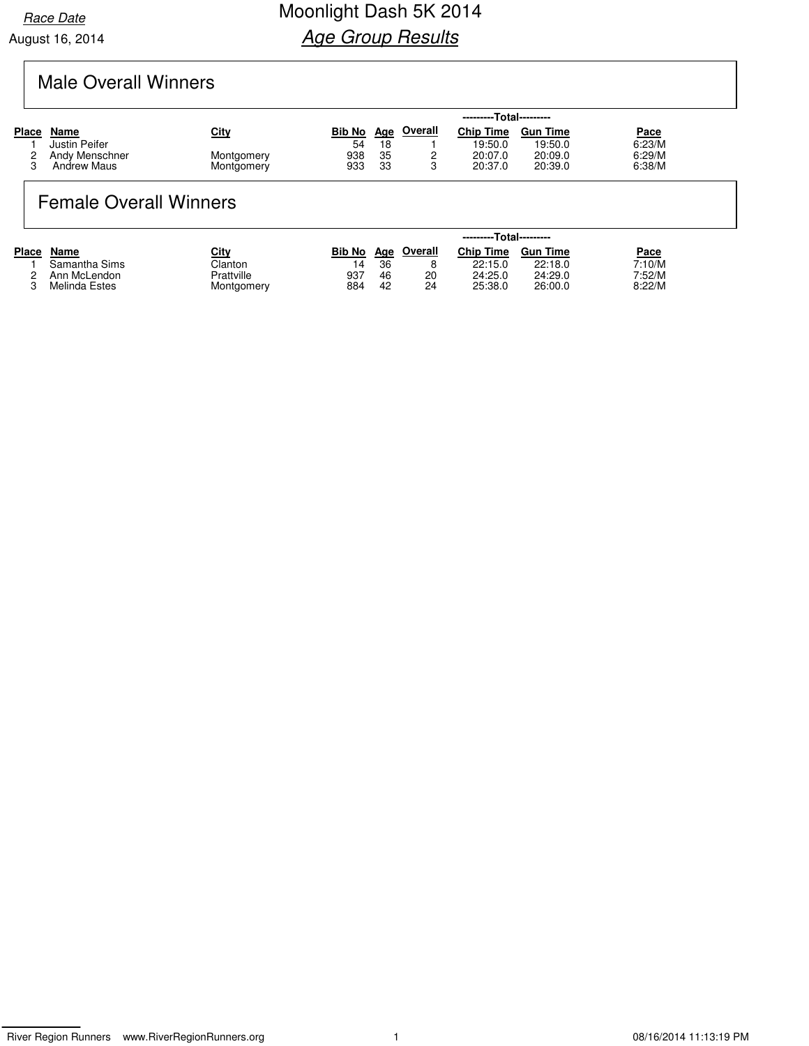## Male Overall Winners

|                    |             |                          |            |                |                  | ---------Total--------- |             |  |
|--------------------|-------------|--------------------------|------------|----------------|------------------|-------------------------|-------------|--|
| Name               | <u>City</u> | <b>Bib No</b>            | <u>Age</u> | <b>Overall</b> | <b>Chip Time</b> | <b>Gun Time</b>         | <b>Pace</b> |  |
| Justin Peifer      |             | 54                       | 18         |                | 19:50.0          | 19:50.0                 | 6:23/M      |  |
| Andy Menschner     |             | 938                      | 35         |                | 20:07.0          | 20:09.0                 | 6:29/M      |  |
| <b>Andrew Maus</b> |             | 933                      | 33         |                | 20:37.0          | 20:39.0                 | 6:38/M      |  |
|                    |             | Montgomery<br>Montgomery |            |                |                  |                         |             |  |

### Female Overall Winners

|              |               |            | ---------Total--------- |     |         |                  |                 |             |  |  |
|--------------|---------------|------------|-------------------------|-----|---------|------------------|-----------------|-------------|--|--|
| <b>Place</b> | Name          | City       | <b>Bib No</b>           | Aae | Overall | <b>Chip Time</b> | <b>Gun Time</b> | <u>Pace</u> |  |  |
|              | Samantha Sims | Clanton    |                         | 36  | 8       | 22:15.0          | 22:18.0         | 7:10/M      |  |  |
|              | Ann McLendon  | Prattville | 937                     | 46  | 20      | 24:25.0          | 24:29.0         | 7:52/M      |  |  |
|              | Melinda Estes | Montgomery | 884                     | 42  | 24      | 25:38.0          | 26:00.0         | 8:22/M      |  |  |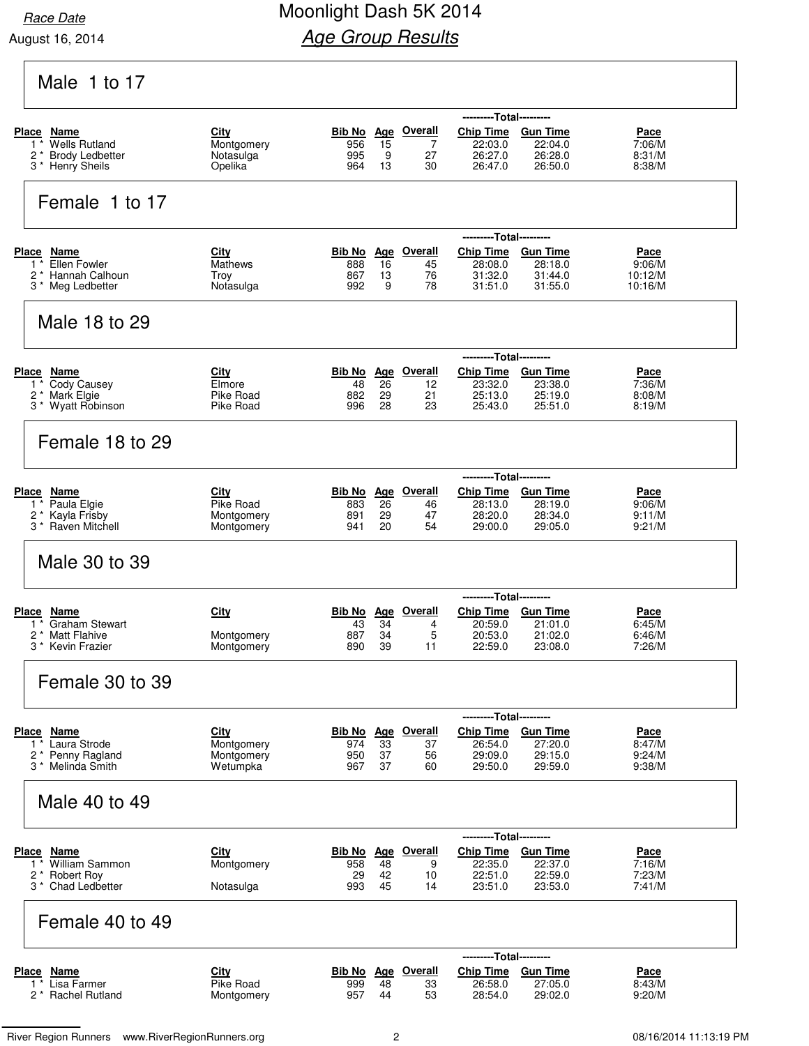### Race Date **Race Date** Moonlight Dash 5K 2014 **Age Group Results**

|                                                                  |                          |                   |                  |                           | ---------Total---------                       |                                      |                       |
|------------------------------------------------------------------|--------------------------|-------------------|------------------|---------------------------|-----------------------------------------------|--------------------------------------|-----------------------|
| Place Name                                                       | City                     | Bib No Age        |                  | <b>Overall</b>            | <b>Chip Time</b>                              | <b>Gun Time</b>                      | Pace                  |
| <b>Wells Rutland</b><br>$1^*$<br>$2^*$<br><b>Brody Ledbetter</b> | Montgomery<br>Notasulga  | 956<br>995        | 15<br>9          | $\overline{7}$<br>27      | 22:03.0<br>26:27.0                            | 22:04.0<br>26:28.0                   | 7:06/M<br>8:31/M      |
| 3 * Henry Sheils                                                 | Opelika                  | 964               | 13               | 30                        | 26:47.0                                       | 26:50.0                              | 8:38/M                |
| Female 1 to 17                                                   |                          |                   |                  |                           |                                               |                                      |                       |
|                                                                  |                          |                   |                  | <b>Overall</b>            | ---------Total---------                       |                                      |                       |
| <b>Place Name</b><br>Ellen Fowler<br>$1^*$                       | City<br><b>Mathews</b>   | Bib No<br>888     | <b>Age</b><br>16 | 45                        | <b>Chip Time</b><br>28:08.0                   | <b>Gun Time</b><br>28:18.0           | Pace<br>9:06/M        |
| Hannah Calhoun<br>$2^*$                                          | Troy                     | 867               | 13               | 76                        | 31:32.0                                       | 31:44.0                              | 10:12/M               |
| 3 * Meg Ledbetter                                                | Notasulga                | 992               | 9                | 78                        | 31:51.0                                       | 31:55.0                              | 10:16/M               |
| Male 18 to 29                                                    |                          |                   |                  |                           |                                               |                                      |                       |
|                                                                  |                          |                   |                  |                           | ---------Total---------                       |                                      |                       |
| Place Name<br>Cody Causey<br>$1^*$                               | City<br>Elmore           | Bib No<br>48      | <b>Age</b><br>26 | <b>Overall</b><br>12      | <b>Chip Time</b><br>23:32.0                   | <b>Gun Time</b><br>23:38.0           | <u>Pace</u><br>7:36/M |
| 2 <sup>*</sup> Mark Elgie                                        | Pike Road                | 882               | 29               | 21                        | 25:13.0                                       | 25:19.0                              | 8:08/M                |
| 3 * Wyatt Robinson                                               | Pike Road                | 996               | 28               | 23                        | 25:43.0                                       | 25:51.0                              | 8:19/M                |
| Female 18 to 29                                                  |                          |                   |                  |                           |                                               |                                      |                       |
|                                                                  |                          |                   |                  |                           | ---------Total---------                       |                                      |                       |
| Place Name<br>Paula Elgie<br>$1^*$                               | City<br>Pike Road        | Bib No Age<br>883 | 26               | <b>Overall</b><br>46      | <b>Chip Time</b><br>28:13.0                   | <b>Gun Time</b><br>28:19.0           | Pace<br>9:06/M        |
| 2 * Kayla Frisby                                                 | Montgomery               | 891               | 29               | 47                        | 28:20.0                                       | 28:34.0                              | 9:11/M                |
| 3 <sup>*</sup> Raven Mitchell                                    | Montgomery               | 941               | 20               | 54                        | 29:00.0                                       | 29:05.0                              | 9:21/M                |
| Male 30 to 39                                                    |                          |                   |                  |                           |                                               |                                      |                       |
| Place Name                                                       | City                     | Bib No Age        |                  | <b>Overall</b>            | ------<br><b>Chip Time</b>                    | ---Total---------<br><b>Gun Time</b> | <u>Pace</u>           |
| <b>Graham Stewart</b><br>1 *                                     |                          | 43                | 34               | 4                         | 20:59.0                                       | 21:01.0                              | 6:45/M                |
| 2 <sup>*</sup> Matt Flahive<br>3 <sup>*</sup> Kevin Frazier      | Montgomery<br>Montgomery | 887<br>890        | 34<br>39         | 5<br>11                   | 20:53.0<br>22:59.0                            | 21:02.0<br>23:08.0                   | 6:46/M<br>7:26/M      |
|                                                                  |                          |                   |                  |                           |                                               |                                      |                       |
| Female 30 to 39                                                  |                          |                   |                  |                           |                                               |                                      |                       |
| Place Name                                                       | City                     |                   |                  | <b>Bib No Age Overall</b> | ---------Total---------<br><b>Chip Time</b>   | <b>Gun Time</b>                      | Pace                  |
| 1 <sup>*</sup> Laura Strode                                      | Montgomery               | 974               | 33               | 37                        | 26:54.0                                       | 27:20.0                              | 8:47/M                |
| 2 * Penny Ragland<br>3 <sup>*</sup> Melinda Smith                | Montgomery<br>Wetumpka   | 950<br>967        | 37<br>37         | 56<br>60                  | 29:09.0<br>29:50.0                            | 29:15.0<br>29:59.0                   | 9:24/M<br>9:38/M      |
|                                                                  |                          |                   |                  |                           |                                               |                                      |                       |
| Male 40 to 49                                                    |                          |                   |                  |                           |                                               |                                      |                       |
| Place Name                                                       | City                     | Bib No Age        |                  | <b>Overall</b>            | ---------Total---------<br>Chip Time Gun Time |                                      | Pace                  |
| 1 <sup>*</sup> William Sammon                                    | Montgomery               | 958               | 48               | 9                         | 22:35.0                                       | 22:37.0                              | 7:16/M                |
| 2 * Robert Roy<br>3 * Chad Ledbetter                             | Notasulga                | 29<br>993         | 42<br>45         | 10<br>14                  | 22:51.0<br>23:51.0                            | 22:59.0<br>23:53.0                   | 7:23/M<br>7:41/M      |
| Female 40 to 49                                                  |                          |                   |                  |                           |                                               |                                      |                       |
|                                                                  |                          |                   |                  |                           | ---------Total---------                       |                                      |                       |
| <b>Place Name</b>                                                | City                     |                   |                  | <b>Bib No Age Overall</b> | <b>Chip Time</b>                              | <b>Gun Time</b>                      | Pace                  |
| 1 <sup>*</sup> Lisa Farmer<br>2 * Rachel Rutland                 | Pike Road<br>Montgomery  | 999<br>957        | 48<br>44         | 33<br>53                  | 26:58.0<br>28:54.0                            | 27:05.0<br>29:02.0                   | 8:43/M<br>9:20/M      |
|                                                                  |                          |                   |                  |                           |                                               |                                      |                       |